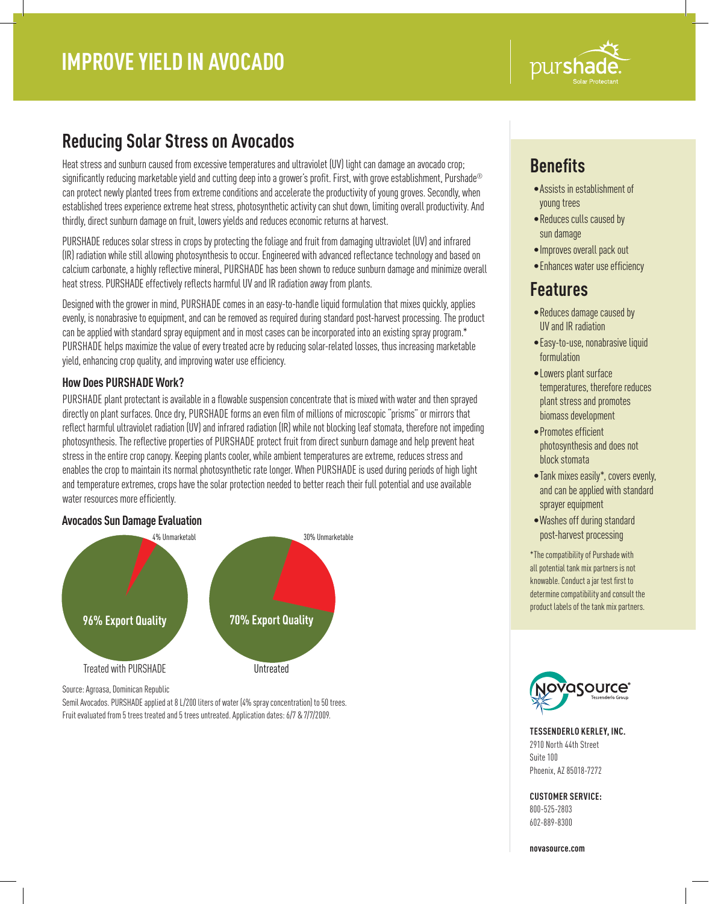

## **Reducing Solar Stress on Avocados**

Heat stress and sunburn caused from excessive temperatures and ultraviolet (UV) light can damage an avocado crop; significantly reducing marketable yield and cutting deep into a grower's profit. First, with grove establishment, Purshade® can protect newly planted trees from extreme conditions and accelerate the productivity of young groves. Secondly, when established trees experience extreme heat stress, photosynthetic activity can shut down, limiting overall productivity. And thirdly, direct sunburn damage on fruit, lowers yields and reduces economic returns at harvest.

PURSHADE reduces solar stress in crops by protecting the foliage and fruit from damaging ultraviolet (UV) and infrared (IR) radiation while still allowing photosynthesis to occur. Engineered with advanced reflectance technology and based on calcium carbonate, a highly reflective mineral, PURSHADE has been shown to reduce sunburn damage and minimize overall heat stress. PURSHADE effectively reflects harmful UV and IR radiation away from plants.

Designed with the grower in mind, PURSHADE comes in an easy-to-handle liquid formulation that mixes quickly, applies evenly, is nonabrasive to equipment, and can be removed as required during standard post-harvest processing. The product can be applied with standard spray equipment and in most cases can be incorporated into an existing spray program.\* PURSHADE helps maximize the value of every treated acre by reducing solar-related losses, thus increasing marketable yield, enhancing crop quality, and improving water use efficiency.

### **How Does PURSHADE Work?**

PURSHADE plant protectant is available in a flowable suspension concentrate that is mixed with water and then sprayed directly on plant surfaces. Once dry, PURSHADE forms an even film of millions of microscopic "prisms" or mirrors that reflect harmful ultraviolet radiation (UV) and infrared radiation (IR) while not blocking leaf stomata, therefore not impeding photosynthesis. The reflective properties of PURSHADE protect fruit from direct sunburn damage and help prevent heat stress in the entire crop canopy. Keeping plants cooler, while ambient temperatures are extreme, reduces stress and enables the crop to maintain its normal photosynthetic rate longer. When PURSHADE is used during periods of high light and temperature extremes, crops have the solar protection needed to better reach their full potential and use available water resources more efficiently.

#### **Avocados Sun Damage Evaluation**



Source: Agroasa, Dominican Republic

Semil Avocados. PURSHADE applied at 8 L/200 liters of water (4% spray concentration) to 50 trees. Fruit evaluated from 5 trees treated and 5 trees untreated. Application dates: 6/7 & 7/7/2009.

# **Benefits**

- •Assists in establishment of young trees
- •Reduces culls caused by sun damage
- •Improves overall pack out
- •Enhances water use efficiency

## **Features**

- •Reduces damage caused by UV and IR radiation
- •Easy-to-use, nonabrasive liquid formulation
- •Lowers plant surface temperatures, therefore reduces plant stress and promotes biomass development
- •Promotes efficient photosynthesis and does not block stomata
- •Tank mixes easily\*, covers evenly, and can be applied with standard sprayer equipment
- •Washes off during standard post-harvest processing

\*The compatibility of Purshade with all potential tank mix partners is not knowable. Conduct a jar test first to determine compatibility and consult the product labels of the tank mix partners.



**TESSENDERLO KERLEY, INC.** 2910 North 44th Street Suite 100 Phoenix, AZ 85018-7272

### **CUSTOMER SERVICE:**

800-525-2803 602-889-8300

**novasource.com**